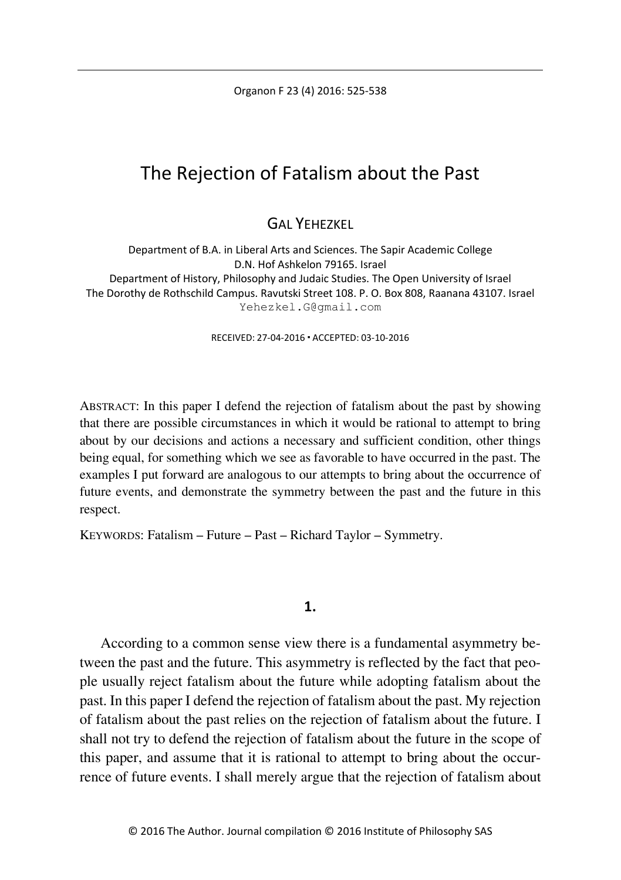Organon F 23 (4) 2016: 525-538

# The Rejection of Fatalism about the Past

GAL YEHEZKEL

Department of B.A. in Liberal Arts and Sciences. The Sapir Academic College D.N. Hof Ashkelon 79165. Israel Department of History, Philosophy and Judaic Studies. The Open University of Israel The Dorothy de Rothschild Campus. Ravutski Street 108. P. O. Box 808, Raanana 43107. Israel Yehezkel.G@gmail.com

RECEIVED: 27-04-2016 ACCEPTED: 03-10-2016

ABSTRACT: In this paper I defend the rejection of fatalism about the past by showing that there are possible circumstances in which it would be rational to attempt to bring about by our decisions and actions a necessary and sufficient condition, other things being equal, for something which we see as favorable to have occurred in the past. The examples I put forward are analogous to our attempts to bring about the occurrence of future events, and demonstrate the symmetry between the past and the future in this respect.

KEYWORDS: Fatalism – Future – Past – Richard Taylor – Symmetry.

#### **1.**

According to a common sense view there is a fundamental asymmetry between the past and the future. This asymmetry is reflected by the fact that people usually reject fatalism about the future while adopting fatalism about the past. In this paper I defend the rejection of fatalism about the past. My rejection of fatalism about the past relies on the rejection of fatalism about the future. I shall not try to defend the rejection of fatalism about the future in the scope of this paper, and assume that it is rational to attempt to bring about the occurrence of future events. I shall merely argue that the rejection of fatalism about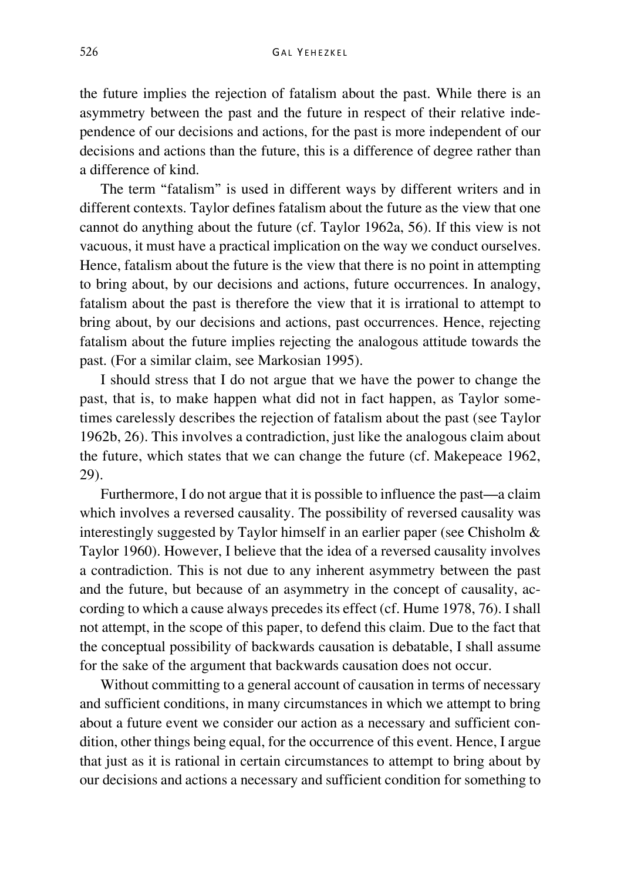the future implies the rejection of fatalism about the past. While there is an asymmetry between the past and the future in respect of their relative independence of our decisions and actions, for the past is more independent of our decisions and actions than the future, this is a difference of degree rather than a difference of kind.

The term "fatalism" is used in different ways by different writers and in different contexts. Taylor defines fatalism about the future as the view that one cannot do anything about the future (cf. Taylor 1962a, 56). If this view is not vacuous, it must have a practical implication on the way we conduct ourselves. Hence, fatalism about the future is the view that there is no point in attempting to bring about, by our decisions and actions, future occurrences. In analogy, fatalism about the past is therefore the view that it is irrational to attempt to bring about, by our decisions and actions, past occurrences. Hence, rejecting fatalism about the future implies rejecting the analogous attitude towards the past. (For a similar claim, see Markosian 1995).

I should stress that I do not argue that we have the power to change the past, that is, to make happen what did not in fact happen, as Taylor sometimes carelessly describes the rejection of fatalism about the past (see Taylor 1962b, 26). This involves a contradiction, just like the analogous claim about the future, which states that we can change the future (cf. Makepeace 1962, 29).

Furthermore, I do not argue that it is possible to influence the past—a claim which involves a reversed causality. The possibility of reversed causality was interestingly suggested by Taylor himself in an earlier paper (see Chisholm & Taylor 1960). However, I believe that the idea of a reversed causality involves a contradiction. This is not due to any inherent asymmetry between the past and the future, but because of an asymmetry in the concept of causality, according to which a cause always precedes its effect (cf. Hume 1978, 76). I shall not attempt, in the scope of this paper, to defend this claim. Due to the fact that the conceptual possibility of backwards causation is debatable, I shall assume for the sake of the argument that backwards causation does not occur.

Without committing to a general account of causation in terms of necessary and sufficient conditions, in many circumstances in which we attempt to bring about a future event we consider our action as a necessary and sufficient condition, other things being equal, for the occurrence of this event. Hence, I argue that just as it is rational in certain circumstances to attempt to bring about by our decisions and actions a necessary and sufficient condition for something to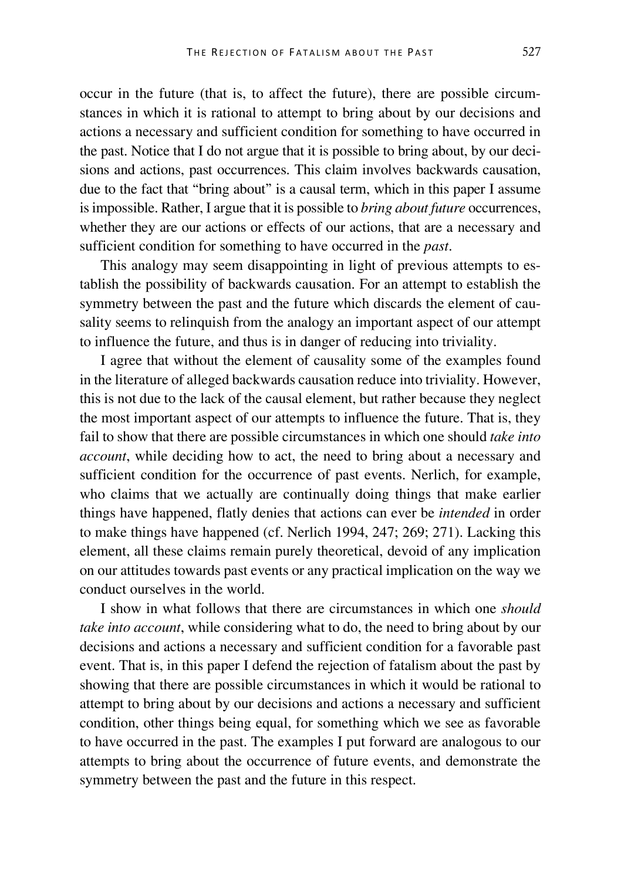occur in the future (that is, to affect the future), there are possible circumstances in which it is rational to attempt to bring about by our decisions and actions a necessary and sufficient condition for something to have occurred in the past. Notice that I do not argue that it is possible to bring about, by our decisions and actions, past occurrences. This claim involves backwards causation, due to the fact that "bring about" is a causal term, which in this paper I assume is impossible. Rather, I argue that it is possible to *bring about future* occurrences, whether they are our actions or effects of our actions, that are a necessary and sufficient condition for something to have occurred in the *past*.

This analogy may seem disappointing in light of previous attempts to establish the possibility of backwards causation. For an attempt to establish the symmetry between the past and the future which discards the element of causality seems to relinquish from the analogy an important aspect of our attempt to influence the future, and thus is in danger of reducing into triviality.

I agree that without the element of causality some of the examples found in the literature of alleged backwards causation reduce into triviality. However, this is not due to the lack of the causal element, but rather because they neglect the most important aspect of our attempts to influence the future. That is, they fail to show that there are possible circumstances in which one should *take into account*, while deciding how to act, the need to bring about a necessary and sufficient condition for the occurrence of past events. Nerlich, for example, who claims that we actually are continually doing things that make earlier things have happened, flatly denies that actions can ever be *intended* in order to make things have happened (cf. Nerlich 1994, 247; 269; 271). Lacking this element, all these claims remain purely theoretical, devoid of any implication on our attitudes towards past events or any practical implication on the way we conduct ourselves in the world.

I show in what follows that there are circumstances in which one *should take into account*, while considering what to do, the need to bring about by our decisions and actions a necessary and sufficient condition for a favorable past event. That is, in this paper I defend the rejection of fatalism about the past by showing that there are possible circumstances in which it would be rational to attempt to bring about by our decisions and actions a necessary and sufficient condition, other things being equal, for something which we see as favorable to have occurred in the past. The examples I put forward are analogous to our attempts to bring about the occurrence of future events, and demonstrate the symmetry between the past and the future in this respect.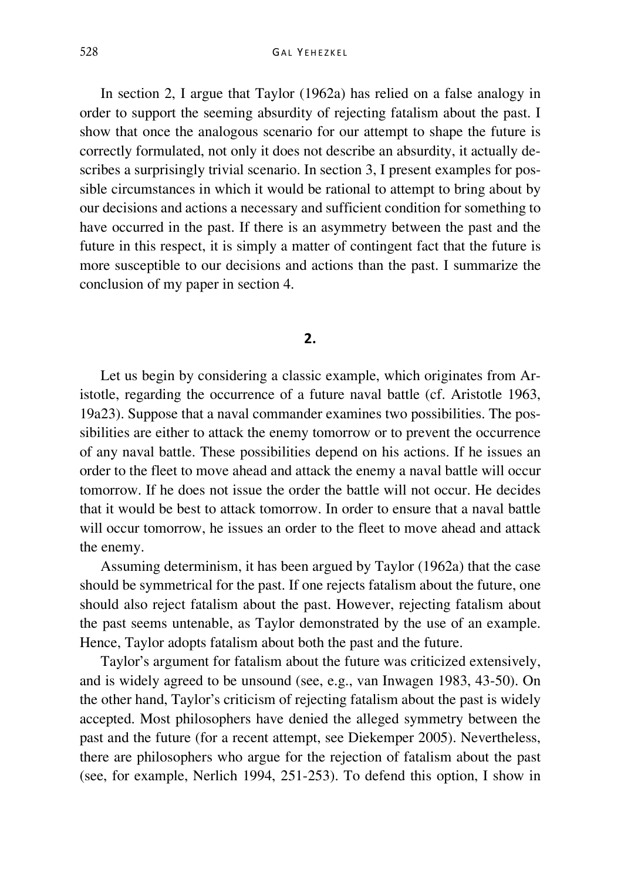In section 2, I argue that Taylor (1962a) has relied on a false analogy in order to support the seeming absurdity of rejecting fatalism about the past. I show that once the analogous scenario for our attempt to shape the future is correctly formulated, not only it does not describe an absurdity, it actually describes a surprisingly trivial scenario. In section 3, I present examples for possible circumstances in which it would be rational to attempt to bring about by our decisions and actions a necessary and sufficient condition for something to have occurred in the past. If there is an asymmetry between the past and the future in this respect, it is simply a matter of contingent fact that the future is more susceptible to our decisions and actions than the past. I summarize the conclusion of my paper in section 4.

### **2.**

Let us begin by considering a classic example, which originates from Aristotle, regarding the occurrence of a future naval battle (cf. Aristotle 1963, 19a23). Suppose that a naval commander examines two possibilities. The possibilities are either to attack the enemy tomorrow or to prevent the occurrence of any naval battle. These possibilities depend on his actions. If he issues an order to the fleet to move ahead and attack the enemy a naval battle will occur tomorrow. If he does not issue the order the battle will not occur. He decides that it would be best to attack tomorrow. In order to ensure that a naval battle will occur tomorrow, he issues an order to the fleet to move ahead and attack the enemy.

Assuming determinism, it has been argued by Taylor (1962a) that the case should be symmetrical for the past. If one rejects fatalism about the future, one should also reject fatalism about the past. However, rejecting fatalism about the past seems untenable, as Taylor demonstrated by the use of an example. Hence, Taylor adopts fatalism about both the past and the future.

Taylor's argument for fatalism about the future was criticized extensively, and is widely agreed to be unsound (see, e.g., van Inwagen 1983, 43-50). On the other hand, Taylor's criticism of rejecting fatalism about the past is widely accepted. Most philosophers have denied the alleged symmetry between the past and the future (for a recent attempt, see Diekemper 2005). Nevertheless, there are philosophers who argue for the rejection of fatalism about the past (see, for example, Nerlich 1994, 251-253). To defend this option, I show in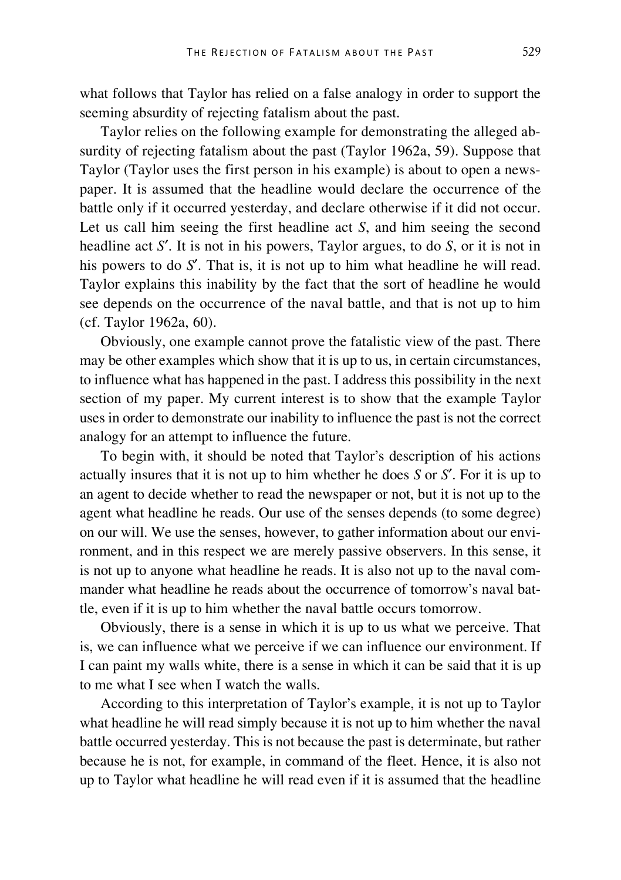what follows that Taylor has relied on a false analogy in order to support the seeming absurdity of rejecting fatalism about the past.

Taylor relies on the following example for demonstrating the alleged absurdity of rejecting fatalism about the past (Taylor 1962a, 59). Suppose that Taylor (Taylor uses the first person in his example) is about to open a newspaper. It is assumed that the headline would declare the occurrence of the battle only if it occurred yesterday, and declare otherwise if it did not occur. Let us call him seeing the first headline act *S*, and him seeing the second headline act *S*′. It is not in his powers, Taylor argues, to do *S*, or it is not in his powers to do *S*′. That is, it is not up to him what headline he will read. Taylor explains this inability by the fact that the sort of headline he would see depends on the occurrence of the naval battle, and that is not up to him (cf. Taylor 1962a, 60).

Obviously, one example cannot prove the fatalistic view of the past. There may be other examples which show that it is up to us, in certain circumstances, to influence what has happened in the past. I address this possibility in the next section of my paper. My current interest is to show that the example Taylor uses in order to demonstrate our inability to influence the past is not the correct analogy for an attempt to influence the future.

To begin with, it should be noted that Taylor's description of his actions actually insures that it is not up to him whether he does *S* or *S*′. For it is up to an agent to decide whether to read the newspaper or not, but it is not up to the agent what headline he reads. Our use of the senses depends (to some degree) on our will. We use the senses, however, to gather information about our environment, and in this respect we are merely passive observers. In this sense, it is not up to anyone what headline he reads. It is also not up to the naval commander what headline he reads about the occurrence of tomorrow's naval battle, even if it is up to him whether the naval battle occurs tomorrow.

Obviously, there is a sense in which it is up to us what we perceive. That is, we can influence what we perceive if we can influence our environment. If I can paint my walls white, there is a sense in which it can be said that it is up to me what I see when I watch the walls.

According to this interpretation of Taylor's example, it is not up to Taylor what headline he will read simply because it is not up to him whether the naval battle occurred yesterday. This is not because the past is determinate, but rather because he is not, for example, in command of the fleet. Hence, it is also not up to Taylor what headline he will read even if it is assumed that the headline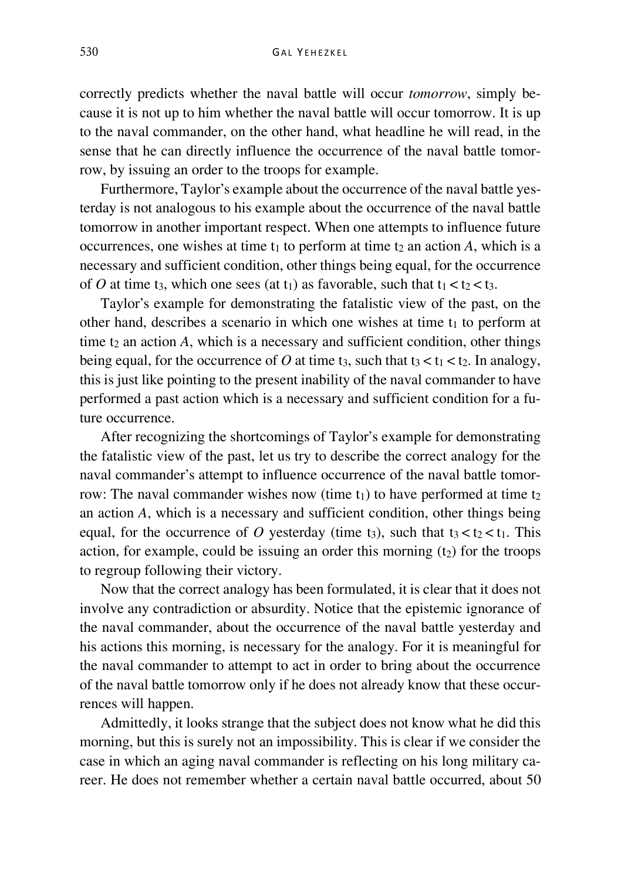correctly predicts whether the naval battle will occur *tomorrow*, simply because it is not up to him whether the naval battle will occur tomorrow. It is up to the naval commander, on the other hand, what headline he will read, in the sense that he can directly influence the occurrence of the naval battle tomorrow, by issuing an order to the troops for example.

Furthermore, Taylor's example about the occurrence of the naval battle yesterday is not analogous to his example about the occurrence of the naval battle tomorrow in another important respect. When one attempts to influence future occurrences, one wishes at time  $t_1$  to perform at time  $t_2$  an action  $A$ , which is a necessary and sufficient condition, other things being equal, for the occurrence of *O* at time t<sub>3</sub>, which one sees (at t<sub>1</sub>) as favorable, such that  $t_1 < t_2 < t_3$ .

Taylor's example for demonstrating the fatalistic view of the past, on the other hand, describes a scenario in which one wishes at time  $t_1$  to perform at time  $t_2$  an action  $A$ , which is a necessary and sufficient condition, other things being equal, for the occurrence of  $O$  at time t<sub>3</sub>, such that t<sub>3</sub> < t<sub>1</sub> < t<sub>2</sub>. In analogy, this is just like pointing to the present inability of the naval commander to have performed a past action which is a necessary and sufficient condition for a future occurrence.

After recognizing the shortcomings of Taylor's example for demonstrating the fatalistic view of the past, let us try to describe the correct analogy for the naval commander's attempt to influence occurrence of the naval battle tomorrow: The naval commander wishes now (time  $t_1$ ) to have performed at time  $t_2$ an action *A*, which is a necessary and sufficient condition, other things being equal, for the occurrence of *O* yesterday (time t<sub>3</sub>), such that t<sub>3</sub>  $lt$  t<sub>2</sub>  $lt$  t<sub>1</sub>. This action, for example, could be issuing an order this morning  $(t_2)$  for the troops to regroup following their victory.

Now that the correct analogy has been formulated, it is clear that it does not involve any contradiction or absurdity. Notice that the epistemic ignorance of the naval commander, about the occurrence of the naval battle yesterday and his actions this morning, is necessary for the analogy. For it is meaningful for the naval commander to attempt to act in order to bring about the occurrence of the naval battle tomorrow only if he does not already know that these occurrences will happen.

Admittedly, it looks strange that the subject does not know what he did this morning, but this is surely not an impossibility. This is clear if we consider the case in which an aging naval commander is reflecting on his long military career. He does not remember whether a certain naval battle occurred, about 50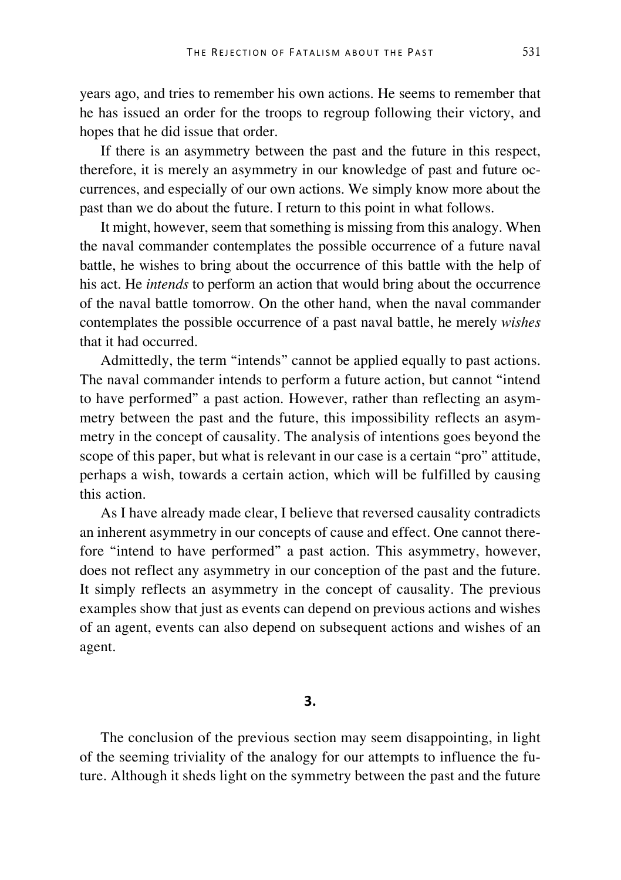years ago, and tries to remember his own actions. He seems to remember that he has issued an order for the troops to regroup following their victory, and hopes that he did issue that order.

If there is an asymmetry between the past and the future in this respect, therefore, it is merely an asymmetry in our knowledge of past and future occurrences, and especially of our own actions. We simply know more about the past than we do about the future. I return to this point in what follows.

It might, however, seem that something is missing from this analogy. When the naval commander contemplates the possible occurrence of a future naval battle, he wishes to bring about the occurrence of this battle with the help of his act. He *intends* to perform an action that would bring about the occurrence of the naval battle tomorrow. On the other hand, when the naval commander contemplates the possible occurrence of a past naval battle, he merely *wishes* that it had occurred.

Admittedly, the term "intends" cannot be applied equally to past actions. The naval commander intends to perform a future action, but cannot "intend to have performed" a past action. However, rather than reflecting an asymmetry between the past and the future, this impossibility reflects an asymmetry in the concept of causality. The analysis of intentions goes beyond the scope of this paper, but what is relevant in our case is a certain "pro" attitude, perhaps a wish, towards a certain action, which will be fulfilled by causing this action.

As I have already made clear, I believe that reversed causality contradicts an inherent asymmetry in our concepts of cause and effect. One cannot therefore "intend to have performed" a past action. This asymmetry, however, does not reflect any asymmetry in our conception of the past and the future. It simply reflects an asymmetry in the concept of causality. The previous examples show that just as events can depend on previous actions and wishes of an agent, events can also depend on subsequent actions and wishes of an agent.

### **3.**

The conclusion of the previous section may seem disappointing, in light of the seeming triviality of the analogy for our attempts to influence the future. Although it sheds light on the symmetry between the past and the future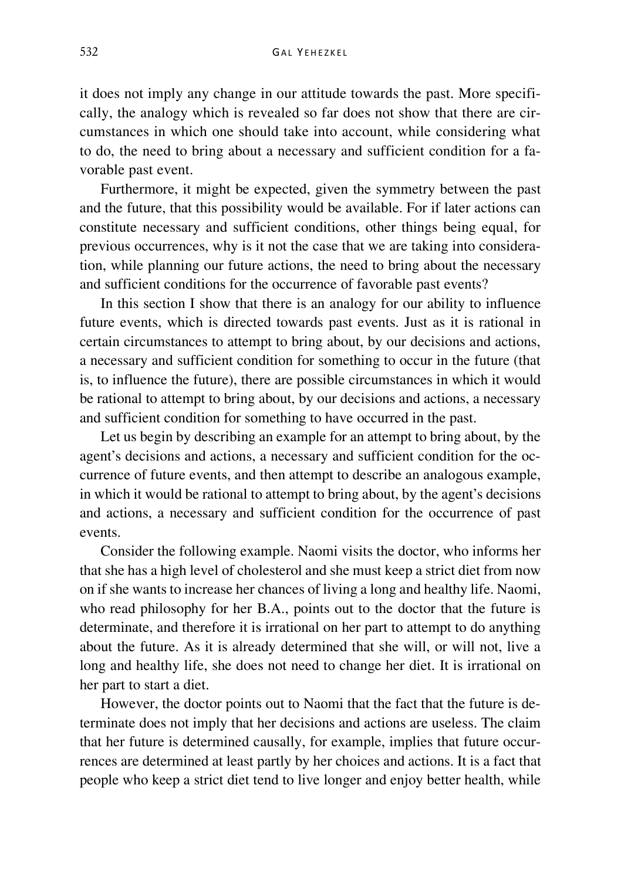it does not imply any change in our attitude towards the past. More specifically, the analogy which is revealed so far does not show that there are circumstances in which one should take into account, while considering what to do, the need to bring about a necessary and sufficient condition for a favorable past event.

Furthermore, it might be expected, given the symmetry between the past and the future, that this possibility would be available. For if later actions can constitute necessary and sufficient conditions, other things being equal, for previous occurrences, why is it not the case that we are taking into consideration, while planning our future actions, the need to bring about the necessary and sufficient conditions for the occurrence of favorable past events?

In this section I show that there is an analogy for our ability to influence future events, which is directed towards past events. Just as it is rational in certain circumstances to attempt to bring about, by our decisions and actions, a necessary and sufficient condition for something to occur in the future (that is, to influence the future), there are possible circumstances in which it would be rational to attempt to bring about, by our decisions and actions, a necessary and sufficient condition for something to have occurred in the past.

Let us begin by describing an example for an attempt to bring about, by the agent's decisions and actions, a necessary and sufficient condition for the occurrence of future events, and then attempt to describe an analogous example, in which it would be rational to attempt to bring about, by the agent's decisions and actions, a necessary and sufficient condition for the occurrence of past events.

Consider the following example. Naomi visits the doctor, who informs her that she has a high level of cholesterol and she must keep a strict diet from now on if she wants to increase her chances of living a long and healthy life. Naomi, who read philosophy for her B.A., points out to the doctor that the future is determinate, and therefore it is irrational on her part to attempt to do anything about the future. As it is already determined that she will, or will not, live a long and healthy life, she does not need to change her diet. It is irrational on her part to start a diet.

However, the doctor points out to Naomi that the fact that the future is determinate does not imply that her decisions and actions are useless. The claim that her future is determined causally, for example, implies that future occurrences are determined at least partly by her choices and actions. It is a fact that people who keep a strict diet tend to live longer and enjoy better health, while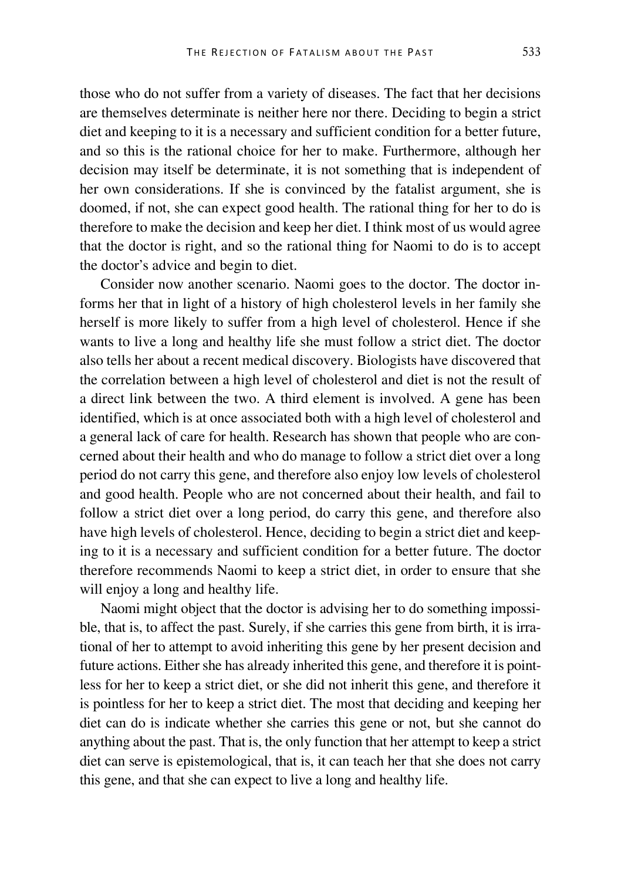those who do not suffer from a variety of diseases. The fact that her decisions are themselves determinate is neither here nor there. Deciding to begin a strict diet and keeping to it is a necessary and sufficient condition for a better future, and so this is the rational choice for her to make. Furthermore, although her decision may itself be determinate, it is not something that is independent of her own considerations. If she is convinced by the fatalist argument, she is doomed, if not, she can expect good health. The rational thing for her to do is therefore to make the decision and keep her diet. I think most of us would agree that the doctor is right, and so the rational thing for Naomi to do is to accept the doctor's advice and begin to diet.

Consider now another scenario. Naomi goes to the doctor. The doctor informs her that in light of a history of high cholesterol levels in her family she herself is more likely to suffer from a high level of cholesterol. Hence if she wants to live a long and healthy life she must follow a strict diet. The doctor also tells her about a recent medical discovery. Biologists have discovered that the correlation between a high level of cholesterol and diet is not the result of a direct link between the two. A third element is involved. A gene has been identified, which is at once associated both with a high level of cholesterol and a general lack of care for health. Research has shown that people who are concerned about their health and who do manage to follow a strict diet over a long period do not carry this gene, and therefore also enjoy low levels of cholesterol and good health. People who are not concerned about their health, and fail to follow a strict diet over a long period, do carry this gene, and therefore also have high levels of cholesterol. Hence, deciding to begin a strict diet and keeping to it is a necessary and sufficient condition for a better future. The doctor therefore recommends Naomi to keep a strict diet, in order to ensure that she will enjoy a long and healthy life.

Naomi might object that the doctor is advising her to do something impossible, that is, to affect the past. Surely, if she carries this gene from birth, it is irrational of her to attempt to avoid inheriting this gene by her present decision and future actions. Either she has already inherited this gene, and therefore it is pointless for her to keep a strict diet, or she did not inherit this gene, and therefore it is pointless for her to keep a strict diet. The most that deciding and keeping her diet can do is indicate whether she carries this gene or not, but she cannot do anything about the past. That is, the only function that her attempt to keep a strict diet can serve is epistemological, that is, it can teach her that she does not carry this gene, and that she can expect to live a long and healthy life.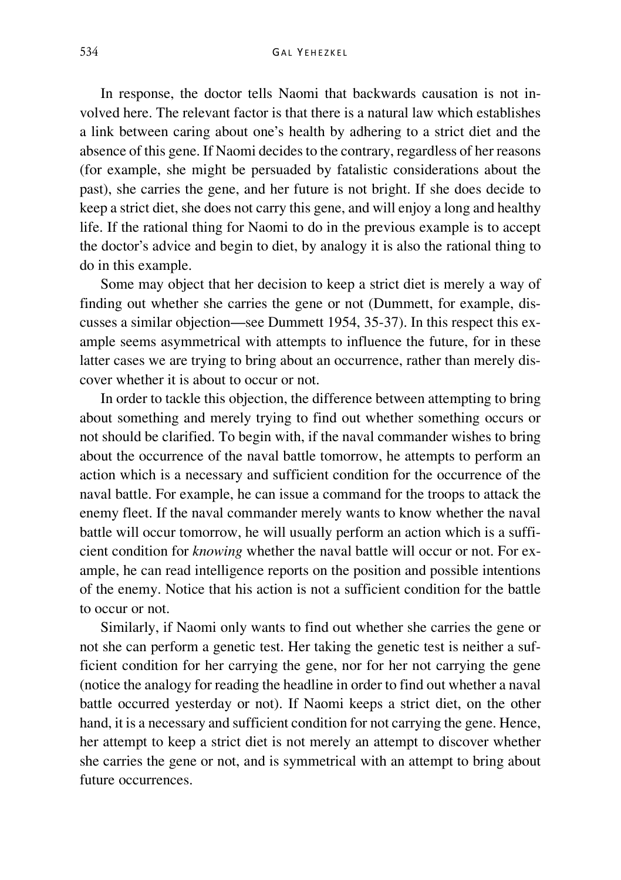In response, the doctor tells Naomi that backwards causation is not involved here. The relevant factor is that there is a natural law which establishes a link between caring about one's health by adhering to a strict diet and the absence of this gene. If Naomi decides to the contrary, regardless of her reasons (for example, she might be persuaded by fatalistic considerations about the past), she carries the gene, and her future is not bright. If she does decide to keep a strict diet, she does not carry this gene, and will enjoy a long and healthy life. If the rational thing for Naomi to do in the previous example is to accept the doctor's advice and begin to diet, by analogy it is also the rational thing to do in this example.

Some may object that her decision to keep a strict diet is merely a way of finding out whether she carries the gene or not (Dummett, for example, discusses a similar objection—see Dummett 1954, 35-37). In this respect this example seems asymmetrical with attempts to influence the future, for in these latter cases we are trying to bring about an occurrence, rather than merely discover whether it is about to occur or not.

In order to tackle this objection, the difference between attempting to bring about something and merely trying to find out whether something occurs or not should be clarified. To begin with, if the naval commander wishes to bring about the occurrence of the naval battle tomorrow, he attempts to perform an action which is a necessary and sufficient condition for the occurrence of the naval battle. For example, he can issue a command for the troops to attack the enemy fleet. If the naval commander merely wants to know whether the naval battle will occur tomorrow, he will usually perform an action which is a sufficient condition for *knowing* whether the naval battle will occur or not. For example, he can read intelligence reports on the position and possible intentions of the enemy. Notice that his action is not a sufficient condition for the battle to occur or not.

Similarly, if Naomi only wants to find out whether she carries the gene or not she can perform a genetic test. Her taking the genetic test is neither a sufficient condition for her carrying the gene, nor for her not carrying the gene (notice the analogy for reading the headline in order to find out whether a naval battle occurred yesterday or not). If Naomi keeps a strict diet, on the other hand, it is a necessary and sufficient condition for not carrying the gene. Hence, her attempt to keep a strict diet is not merely an attempt to discover whether she carries the gene or not, and is symmetrical with an attempt to bring about future occurrences.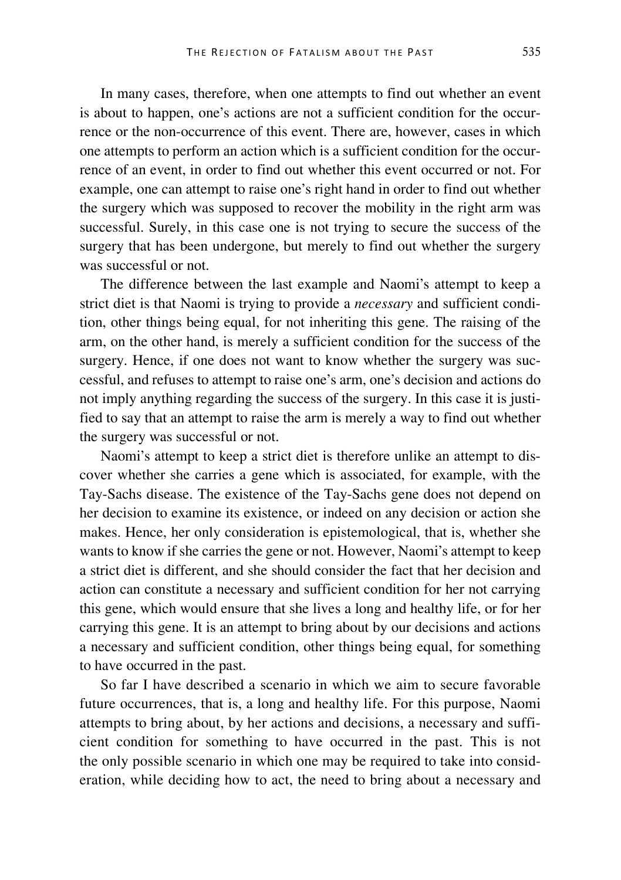In many cases, therefore, when one attempts to find out whether an event is about to happen, one's actions are not a sufficient condition for the occurrence or the non-occurrence of this event. There are, however, cases in which one attempts to perform an action which is a sufficient condition for the occurrence of an event, in order to find out whether this event occurred or not. For example, one can attempt to raise one's right hand in order to find out whether the surgery which was supposed to recover the mobility in the right arm was successful. Surely, in this case one is not trying to secure the success of the surgery that has been undergone, but merely to find out whether the surgery was successful or not.

The difference between the last example and Naomi's attempt to keep a strict diet is that Naomi is trying to provide a *necessary* and sufficient condition, other things being equal, for not inheriting this gene. The raising of the arm, on the other hand, is merely a sufficient condition for the success of the surgery. Hence, if one does not want to know whether the surgery was successful, and refuses to attempt to raise one's arm, one's decision and actions do not imply anything regarding the success of the surgery. In this case it is justified to say that an attempt to raise the arm is merely a way to find out whether the surgery was successful or not.

Naomi's attempt to keep a strict diet is therefore unlike an attempt to discover whether she carries a gene which is associated, for example, with the Tay-Sachs disease. The existence of the Tay-Sachs gene does not depend on her decision to examine its existence, or indeed on any decision or action she makes. Hence, her only consideration is epistemological, that is, whether she wants to know if she carries the gene or not. However, Naomi's attempt to keep a strict diet is different, and she should consider the fact that her decision and action can constitute a necessary and sufficient condition for her not carrying this gene, which would ensure that she lives a long and healthy life, or for her carrying this gene. It is an attempt to bring about by our decisions and actions a necessary and sufficient condition, other things being equal, for something to have occurred in the past.

So far I have described a scenario in which we aim to secure favorable future occurrences, that is, a long and healthy life. For this purpose, Naomi attempts to bring about, by her actions and decisions, a necessary and sufficient condition for something to have occurred in the past. This is not the only possible scenario in which one may be required to take into consideration, while deciding how to act, the need to bring about a necessary and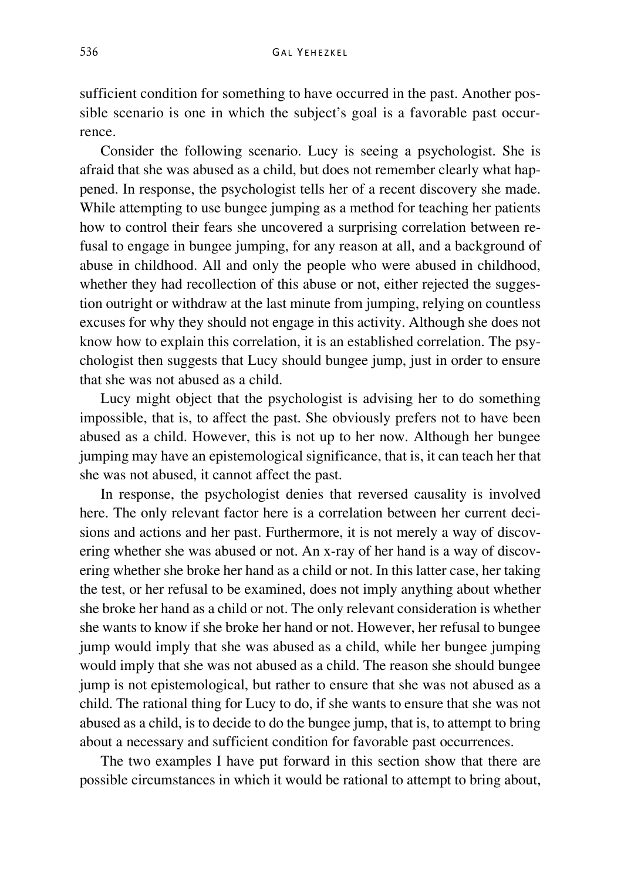sufficient condition for something to have occurred in the past. Another possible scenario is one in which the subject's goal is a favorable past occurrence.

Consider the following scenario. Lucy is seeing a psychologist. She is afraid that she was abused as a child, but does not remember clearly what happened. In response, the psychologist tells her of a recent discovery she made. While attempting to use bungee jumping as a method for teaching her patients how to control their fears she uncovered a surprising correlation between refusal to engage in bungee jumping, for any reason at all, and a background of abuse in childhood. All and only the people who were abused in childhood, whether they had recollection of this abuse or not, either rejected the suggestion outright or withdraw at the last minute from jumping, relying on countless excuses for why they should not engage in this activity. Although she does not know how to explain this correlation, it is an established correlation. The psychologist then suggests that Lucy should bungee jump, just in order to ensure that she was not abused as a child.

Lucy might object that the psychologist is advising her to do something impossible, that is, to affect the past. She obviously prefers not to have been abused as a child. However, this is not up to her now. Although her bungee jumping may have an epistemological significance, that is, it can teach her that she was not abused, it cannot affect the past.

In response, the psychologist denies that reversed causality is involved here. The only relevant factor here is a correlation between her current decisions and actions and her past. Furthermore, it is not merely a way of discovering whether she was abused or not. An x-ray of her hand is a way of discovering whether she broke her hand as a child or not. In this latter case, her taking the test, or her refusal to be examined, does not imply anything about whether she broke her hand as a child or not. The only relevant consideration is whether she wants to know if she broke her hand or not. However, her refusal to bungee jump would imply that she was abused as a child, while her bungee jumping would imply that she was not abused as a child. The reason she should bungee jump is not epistemological, but rather to ensure that she was not abused as a child. The rational thing for Lucy to do, if she wants to ensure that she was not abused as a child, is to decide to do the bungee jump, that is, to attempt to bring about a necessary and sufficient condition for favorable past occurrences.

The two examples I have put forward in this section show that there are possible circumstances in which it would be rational to attempt to bring about,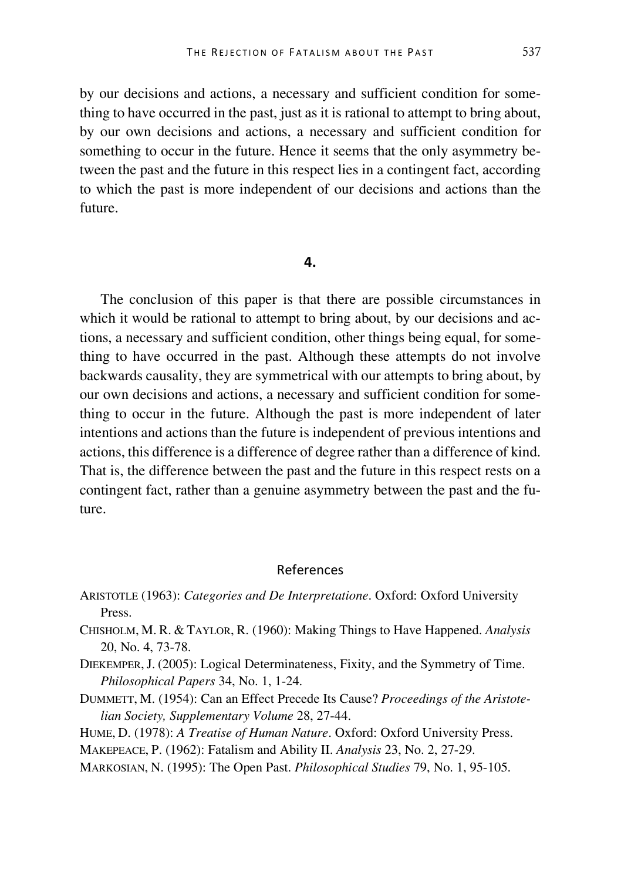by our decisions and actions, a necessary and sufficient condition for something to have occurred in the past, just as it is rational to attempt to bring about, by our own decisions and actions, a necessary and sufficient condition for something to occur in the future. Hence it seems that the only asymmetry between the past and the future in this respect lies in a contingent fact, according to which the past is more independent of our decisions and actions than the future.

#### **4.**

The conclusion of this paper is that there are possible circumstances in which it would be rational to attempt to bring about, by our decisions and actions, a necessary and sufficient condition, other things being equal, for something to have occurred in the past. Although these attempts do not involve backwards causality, they are symmetrical with our attempts to bring about, by our own decisions and actions, a necessary and sufficient condition for something to occur in the future. Although the past is more independent of later intentions and actions than the future is independent of previous intentions and actions, this difference is a difference of degree rather than a difference of kind. That is, the difference between the past and the future in this respect rests on a contingent fact, rather than a genuine asymmetry between the past and the future.

## References

- ARISTOTLE (1963): *Categories and De Interpretatione*. Oxford: Oxford University Press.
- CHISHOLM, M. R. & TAYLOR, R. (1960): Making Things to Have Happened. *Analysis* 20, No. 4, 73-78.
- DIEKEMPER,J. (2005): Logical Determinateness, Fixity, and the Symmetry of Time. *Philosophical Papers* 34, No. 1, 1-24.
- DUMMETT, M. (1954): Can an Effect Precede Its Cause? *Proceedings of the Aristotelian Society, Supplementary Volume* 28, 27-44.
- HUME, D. (1978): *A Treatise of Human Nature*. Oxford: Oxford University Press.
- MAKEPEACE, P. (1962): Fatalism and Ability II. *Analysis* 23, No. 2, 27-29.
- MARKOSIAN, N. (1995): The Open Past. *Philosophical Studies* 79, No. 1, 95-105.